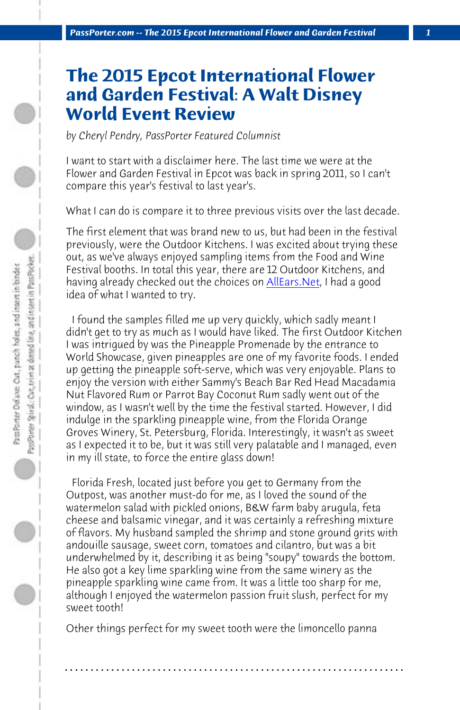*PassPorter.com -- The 2015 Epcot International Flower and Garden Festival 1*

## **The 2015 Epcot Interna[tional F](http://allears.net/tp/ep/fg15/epcot-flower-and-garden-festival-food-and-beverages-2015.htm)lower and Garden Festival: A Walt Disney World Event Review**

*by Cheryl Pendry, PassPorter Featured Columnist*

I want to start with a disclaimer here. The last time we were at the Flower and Garden Festival in Epcot was back in spring 2011, so I can't compare this year's festival to last year's.

What I can do is compare it to three previous visits over the last decade.

The first element that was brand new to us, but had been in the festival previously, were the Outdoor Kitchens. I was excited about trying these out, as we've always enjoyed sampling items from the Food and Wine Festival booths. In total this year, there are 12 Outdoor Kitchens, and having already checked out the choices on **AllEars.Net**, I had a good idea of what I wanted to try.

 I found the samples filled me up very quickly, which sadly meant I didn't get to try as much as I would have liked. The first Outdoor Kitchen I was intrigued by was the Pineapple Promenade by the entrance to World Showcase, given pineapples are one of my favorite foods. I ended up getting the pineapple soft-serve, which was very enjoyable. Plans to enjoy the version with either Sammy's Beach Bar Red Head Macadamia Nut Flavored Rum or Parrot Bay Coconut Rum sadly went out of the window, as I wasn't well by the time the festival started. However, I did indulge in the sparkling pineapple wine, from the Florida Orange Groves Winery, St. Petersburg, Florida. Interestingly, it wasn't as sweet as I expected it to be, but it was still very palatable and I managed, even in my ill state, to force the entire glass down!

 Florida Fresh, located just before you get to Germany from the Outpost, was another must-do for me, as I loved the sound of the watermelon salad with pickled onions, B&W farm baby arugula, feta cheese and balsamic vinegar, and it was certainly a refreshing mixture of flavors. My husband sampled the shrimp and stone ground grits with andouille sausage, sweet corn, tomatoes and cilantro, but was a bit underwhelmed by it, describing it as being "soupy" towards the bottom. He also got a key lime sparkling wine from the same winery as the pineapple sparkling wine came from. It was a little too sharp for me, although I enjoyed the watermelon passion fruit slush, perfect for my sweet tooth!

Other things perfect for my sweet tooth were the limoncello panna

**. . . . . . . . . . . . . . . . . . . . . . . . . . . . . . . . . . . . . . . . . . . . . . . . . . . . . . . . . . . . . . . . . .**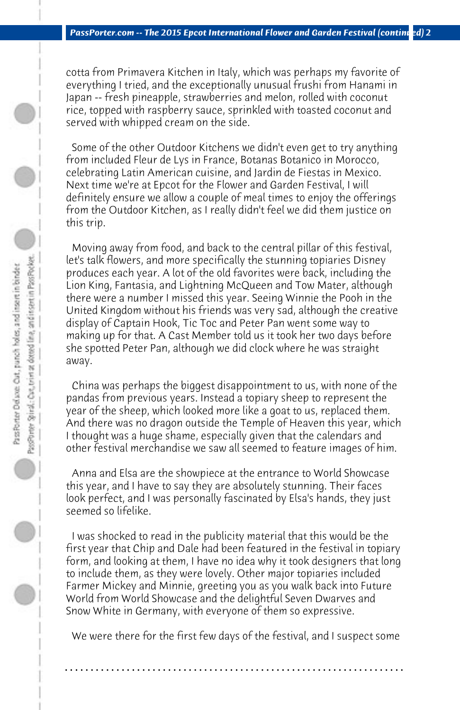cotta from Primavera Kitchen in Italy, which was perhaps my favorite of everything I tried, and the exceptionally unusual frushi from Hanami in Japan -- fresh pineapple, strawberries and melon, rolled with coconut rice, topped with raspberry sauce, sprinkled with toasted coconut and served with whipped cream on the side.

 Some of the other Outdoor Kitchens we didn't even get to try anything from included Fleur de Lys in France, Botanas Botanico in Morocco, celebrating Latin American cuisine, and Jardin de Fiestas in Mexico. Next time we're at Epcot for the Flower and Garden Festival, I will definitely ensure we allow a couple of meal times to enjoy the offerings from the Outdoor Kitchen, as I really didn't feel we did them justice on this trip.

 Moving away from food, and back to the central pillar of this festival, let's talk flowers, and more specifically the stunning topiaries Disney produces each year. A lot of the old favorites were back, including the Lion King, Fantasia, and Lightning McQueen and Tow Mater, although there were a number I missed this year. Seeing Winnie the Pooh in the United Kingdom without his friends was very sad, although the creative display of Captain Hook, Tic Toc and Peter Pan went some way to making up for that. A Cast Member told us it took her two days before she spotted Peter Pan, although we did clock where he was straight away.

 China was perhaps the biggest disappointment to us, with none of the pandas from previous years. Instead a topiary sheep to represent the year of the sheep, which looked more like a goat to us, replaced them. And there was no dragon outside the Temple of Heaven this year, which I thought was a huge shame, especially given that the calendars and other festival merchandise we saw all seemed to feature images of him.

 Anna and Elsa are the showpiece at the entrance to World Showcase this year, and I have to say they are absolutely stunning. Their faces look perfect, and I was personally fascinated by Elsa's hands, they just seemed so lifelike.

 I was shocked to read in the publicity material that this would be the first year that Chip and Dale had been featured in the festival in topiary form, and looking at them, I have no idea why it took designers that long to include them, as they were lovely. Other major topiaries included Farmer Mickey and Minnie, greeting you as you walk back into Future World from World Showcase and the delightful Seven Dwarves and Snow White in Germany, with everyone of them so expressive.

 We were there for the first few days of the festival, and I suspect some

**. . . . . . . . . . . . . . . . . . . . . . . . . . . . . . . . . . . . . . . . . . . . . . . . . . . . . . . . . . . . . . . . . .**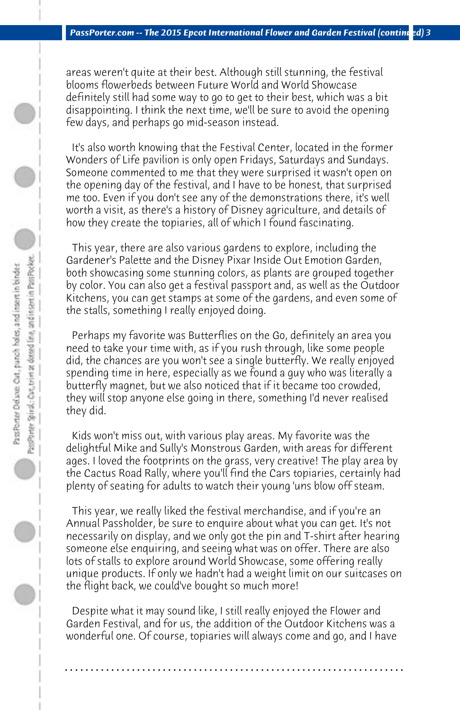areas weren't quite at their best. Although still stunning, the festival blooms flowerbeds between Future World and World Showcase definitely still had some way to go to get to their best, which was a bit disappointing. I think the next time, we'll be sure to avoid the opening few days, and perhaps go mid-season instead.

 It's also worth knowing that the Festival Center, located in the former Wonders of Life pavilion is only open Fridays, Saturdays and Sundays. Someone commented to me that they were surprised it wasn't open on the opening day of the festival, and I have to be honest, that surprised me too. Even if you don't see any of the demonstrations there, it's well worth a visit, as there's a history of Disney agriculture, and details of how they create the topiaries, all of which I found fascinating.

 This year, there are also various gardens to explore, including the Gardener's Palette and the Disney Pixar Inside Out Emotion Garden, both showcasing some stunning colors, as plants are grouped together by color. You can also get a festival passport and, as well as the Outdoor Kitchens, you can get stamps at some of the gardens, and even some of the stalls, something I really enjoyed doing.

 Perhaps my favorite was Butterflies on the Go, definitely an area you need to take your time with, as if you rush through, like some people did, the chances are you won't see a single butterfly. We really enjoyed spending time in here, especially as we found a guy who was literally a butterfly magnet, but we also noticed that if it became too crowded, they will stop anyone else going in there, something I'd never realised they did.

 Kids won't miss out, with various play areas. My favorite was the delightful Mike and Sully's Monstrous Garden, with areas for different ages. I loved the footprints on the grass, very creative! The play area by the Cactus Road Rally, where you'll find the Cars topiaries, certainly had plenty of seating for adults to watch their young 'uns blow off steam.

 This year, we really liked the festival merchandise, and if you're an Annual Passholder, be sure to enquire about what you can get. It's not necessarily on display, and we only got the pin and T-shirt after hearing someone else enquiring, and seeing what was on offer. There are also lots of stalls to explore around World Showcase, some offering really unique products. If only we hadn't had a weight limit on our suitcases on the flight back, we could've bought so much more!

 Despite what it may sound like, I still really enjoyed the Flower and Garden Festival, and for us, the addition of the Outdoor Kitchens was a wonderful one. Of course, topiaries will always come and go, and I have

**. . . . . . . . . . . . . . . . . . . . . . . . . . . . . . . . . . . . . . . . . . . . . . . . . . . . . . . . . . . . . . . . . .**